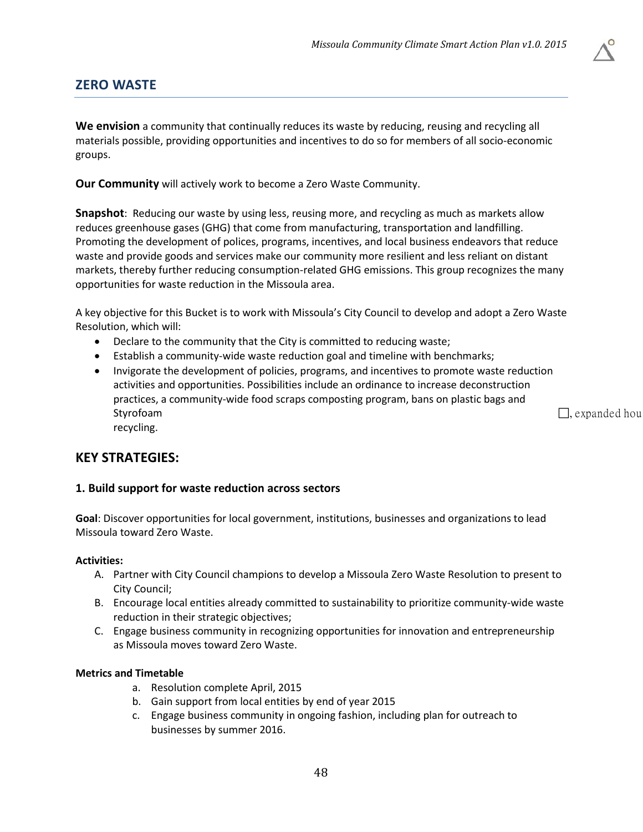

**We envision** a community that continually reduces its waste by reducing, reusing and recycling all materials possible, providing opportunities and incentives to do so for members of all socio-economic groups.

**Our Community** will actively work to become a Zero Waste Community.

**Snapshot**: Reducing our waste by using less, reusing more, and recycling as much as markets allow reduces greenhouse gases (GHG) that come from manufacturing, transportation and landfilling. Promoting the development of polices, programs, incentives, and local business endeavors that reduce waste and provide goods and services make our community more resilient and less reliant on distant markets, thereby further reducing consumption-related GHG emissions. This group recognizes the many opportunities for waste reduction in the Missoula area.

A key objective for this Bucket is to work with Missoula's City Council to develop and adopt a Zero Waste Resolution, which will:

- Declare to the community that the City is committed to reducing waste;
- Establish a community-wide waste reduction goal and timeline with benchmarks;
- Invigorate the development of policies, programs, and incentives to promote waste reduction activities and opportunities. Possibilities include an ordinance to increase deconstruction practices, a community-wide food scraps composting program, bans on plastic bags and Styrofoam , expanded hours and the state of the state of the state of the state of the state of the state of the state of the state of the state of the state of the state of the state of the state of the state of the state recycling.

# **KEY STRATEGIES:**

### **1. Build support for waste reduction across sectors**

**Goal**: Discover opportunities for local government, institutions, businesses and organizations to lead Missoula toward Zero Waste.

### **Activities:**

- A. Partner with City Council champions to develop a Missoula Zero Waste Resolution to present to City Council;
- B. Encourage local entities already committed to sustainability to prioritize community-wide waste reduction in their strategic objectives;
- C. Engage business community in recognizing opportunities for innovation and entrepreneurship as Missoula moves toward Zero Waste.

### **Metrics and Timetable**

- a. Resolution complete April, 2015
- b. Gain support from local entities by end of year 2015
- c. Engage business community in ongoing fashion, including plan for outreach to businesses by summer 2016.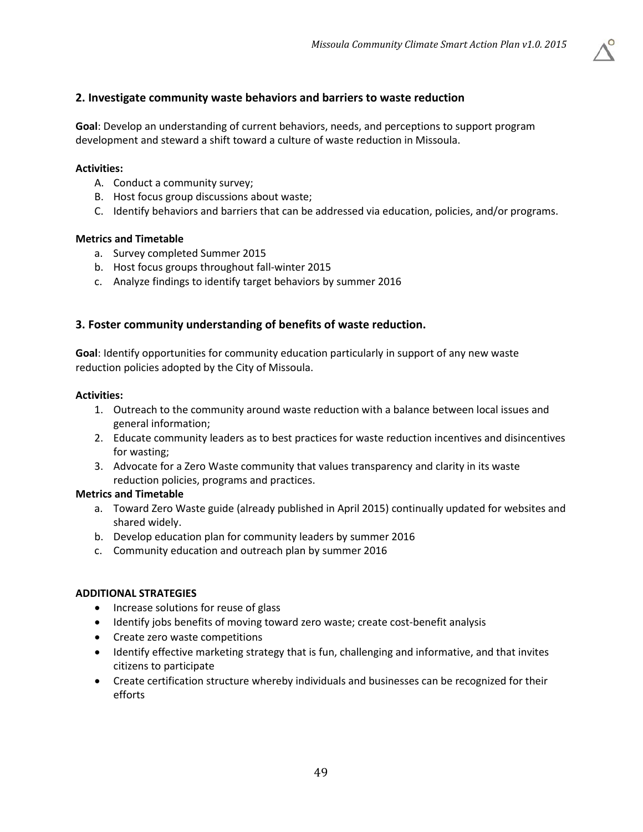

**Goal**: Develop an understanding of current behaviors, needs, and perceptions to support program development and steward a shift toward a culture of waste reduction in Missoula.

## **Activities:**

- A. Conduct a community survey;
- B. Host focus group discussions about waste;
- C. Identify behaviors and barriers that can be addressed via education, policies, and/or programs.

### **Metrics and Timetable**

- a. Survey completed Summer 2015
- b. Host focus groups throughout fall-winter 2015
- c. Analyze findings to identify target behaviors by summer 2016

## **3. Foster community understanding of benefits of waste reduction.**

**Goal**: Identify opportunities for community education particularly in support of any new waste reduction policies adopted by the City of Missoula.

### **Activities:**

- 1. Outreach to the community around waste reduction with a balance between local issues and general information;
- 2. Educate community leaders as to best practices for waste reduction incentives and disincentives for wasting;
- 3. Advocate for a Zero Waste community that values transparency and clarity in its waste reduction policies, programs and practices.

### **Metrics and Timetable**

- a. Toward Zero Waste guide (already published in April 2015) continually updated for websites and shared widely.
- b. Develop education plan for community leaders by summer 2016
- c. Community education and outreach plan by summer 2016

### **ADDITIONAL STRATEGIES**

- Increase solutions for reuse of glass
- Identify jobs benefits of moving toward zero waste; create cost-benefit analysis
- Create zero waste competitions
- Identify effective marketing strategy that is fun, challenging and informative, and that invites citizens to participate
- Create certification structure whereby individuals and businesses can be recognized for their efforts